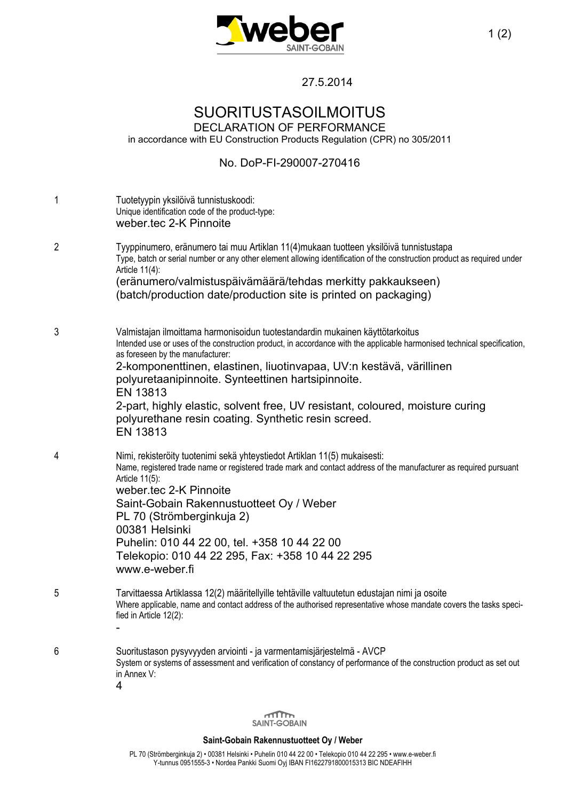

27.5.2014

## SUORITUSTASOILMOITUS

DECLARATION OF PERFORMANCE in accordance with EU Construction Products Regulation (CPR) no 305/2011

## No. DoP-FI-290007-270416

| 1 | Tuotetyypin yksilöivä tunnistuskoodi:<br>Unique identification code of the product-type:<br>weber.tec 2-K Pinnoite                                                                                                                                                                                                                                                                                                                                                                                                                        |
|---|-------------------------------------------------------------------------------------------------------------------------------------------------------------------------------------------------------------------------------------------------------------------------------------------------------------------------------------------------------------------------------------------------------------------------------------------------------------------------------------------------------------------------------------------|
| 2 | Tyyppinumero, eränumero tai muu Artiklan 11(4)mukaan tuotteen yksilöivä tunnistustapa<br>Type, batch or serial number or any other element allowing identification of the construction product as required under<br>Article 11(4):<br>(eränumero/valmistuspäivämäärä/tehdas merkitty pakkaukseen)<br>(batch/production date/production site is printed on packaging)                                                                                                                                                                      |
| 3 | Valmistajan ilmoittama harmonisoidun tuotestandardin mukainen käyttötarkoitus<br>Intended use or uses of the construction product, in accordance with the applicable harmonised technical specification,<br>as foreseen by the manufacturer:<br>2-komponenttinen, elastinen, liuotinvapaa, UV:n kestävä, värillinen<br>polyuretaanipinnoite. Synteettinen hartsipinnoite.<br>EN 13813<br>2-part, highly elastic, solvent free, UV resistant, coloured, moisture curing<br>polyurethane resin coating. Synthetic resin screed.<br>EN 13813 |
| 4 | Nimi, rekisteröity tuotenimi sekä yhteystiedot Artiklan 11(5) mukaisesti:<br>Name, registered trade name or registered trade mark and contact address of the manufacturer as required pursuant<br>Article 11(5):<br>weber.tec 2-K Pinnoite<br>Saint-Gobain Rakennustuotteet Oy / Weber<br>PL 70 (Strömberginkuja 2)<br>00381 Helsinki<br>Puhelin: 010 44 22 00, tel. +358 10 44 22 00<br>Telekopio: 010 44 22 295, Fax: +358 10 44 22 295<br>www.e-weber.fi                                                                               |
| 5 | Tarvittaessa Artiklassa 12(2) määritellyille tehtäville valtuutetun edustajan nimi ja osoite<br>Where applicable, name and contact address of the authorised representative whose mandate covers the tasks speci-<br>fied in Article 12(2):                                                                                                                                                                                                                                                                                               |
| 6 | Suoritustason pysyvyyden arviointi - ja varmentamisjärjestelmä - AVCP<br>System or systems of assessment and verification of constancy of performance of the construction product as set out<br>in Annex V:<br>4                                                                                                                                                                                                                                                                                                                          |



## **Saint-Gobain Rakennustuotteet Oy / Weber**